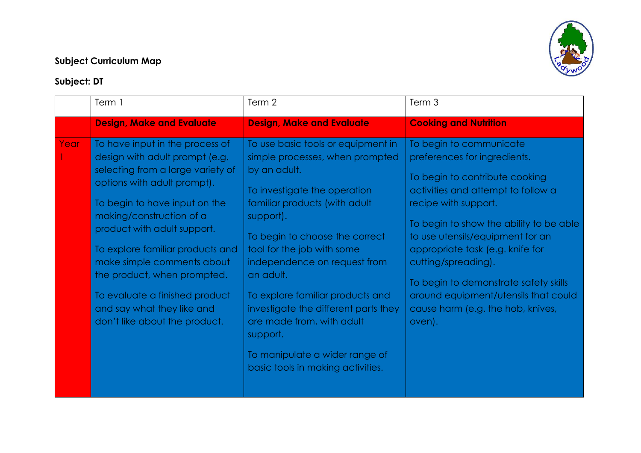## **Subject Curriculum Map**



## **Subject: DT**

|      | Term 1                                                                                                                                                                                                                                                                                                                                                                                                                              | Term 2                                                                                                                                                                                                                                                                                                                                                                                                                                                                       | Term 3                                                                                                                                                                                                                                                                                                                                                                                                                            |
|------|-------------------------------------------------------------------------------------------------------------------------------------------------------------------------------------------------------------------------------------------------------------------------------------------------------------------------------------------------------------------------------------------------------------------------------------|------------------------------------------------------------------------------------------------------------------------------------------------------------------------------------------------------------------------------------------------------------------------------------------------------------------------------------------------------------------------------------------------------------------------------------------------------------------------------|-----------------------------------------------------------------------------------------------------------------------------------------------------------------------------------------------------------------------------------------------------------------------------------------------------------------------------------------------------------------------------------------------------------------------------------|
|      | <b>Design, Make and Evaluate</b>                                                                                                                                                                                                                                                                                                                                                                                                    | <b>Design, Make and Evaluate</b>                                                                                                                                                                                                                                                                                                                                                                                                                                             | <b>Cooking and Nutrition</b>                                                                                                                                                                                                                                                                                                                                                                                                      |
| Year | To have input in the process of<br>design with adult prompt (e.g.<br>selecting from a large variety of<br>options with adult prompt).<br>To begin to have input on the<br>making/construction of a<br>product with adult support.<br>To explore familiar products and<br>make simple comments about<br>the product, when prompted.<br>To evaluate a finished product<br>and say what they like and<br>don't like about the product. | To use basic tools or equipment in<br>simple processes, when prompted<br>by an adult.<br>To investigate the operation<br>familiar products (with adult<br>support).<br>To begin to choose the correct<br>tool for the job with some<br>independence on request from<br>an adult.<br>To explore familiar products and<br>investigate the different parts they<br>are made from, with adult<br>support.<br>To manipulate a wider range of<br>basic tools in making activities. | To begin to communicate<br>preferences for ingredients.<br>To begin to contribute cooking<br>activities and attempt to follow a<br>recipe with support.<br>To begin to show the ability to be able<br>to use utensils/equipment for an<br>appropriate task (e.g. knife for<br>cutting/spreading).<br>To begin to demonstrate safety skills<br>around equipment/utensils that could<br>cause harm (e.g. the hob, knives,<br>oven). |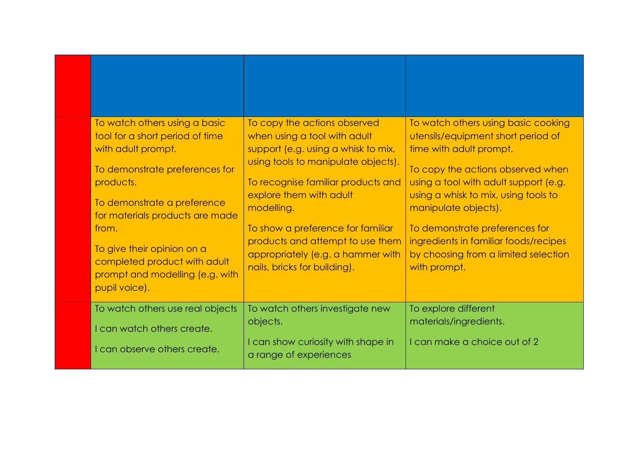| To watch others using a basic<br>tool for a short period of time<br>with adult prompt.<br>To demonstrate preferences for<br>products.                                                     | To copy the actions observed<br>when using a tool with adult<br>support (e.g. using a whisk to mix,<br>using tools to manipulate objects).<br>To recognise familiar products and    | To watch others using basic cooking<br>utensils/equipment short period of<br>time with adult prompt.<br>To copy the actions observed when<br>using a tool with adult support (e.g.              |
|-------------------------------------------------------------------------------------------------------------------------------------------------------------------------------------------|-------------------------------------------------------------------------------------------------------------------------------------------------------------------------------------|-------------------------------------------------------------------------------------------------------------------------------------------------------------------------------------------------|
| To demonstrate a preference<br>for materials products are made<br>from.<br>To give their opinion on a<br>completed product with adult<br>prompt and modelling (e.g. with<br>pupil voice). | explore them with adult<br>modelling.<br>To show a preference for familiar<br>products and attempt to use them<br>appropriately (e.g. a hammer with<br>nails, bricks for building). | using a whisk to mix, using tools to<br>manipulate objects).<br>To demonstrate preferences for<br>ingredients in familiar foods/recipes<br>by choosing from a limited selection<br>with prompt. |
| To watch others use real objects<br>I can watch others create.<br>I can observe others create.                                                                                            | To watch others investigate new<br>objects.<br>I can show curiosity with shape in<br>a range of experiences                                                                         | To explore different<br>materials/ingredients.<br>I can make a choice out of 2                                                                                                                  |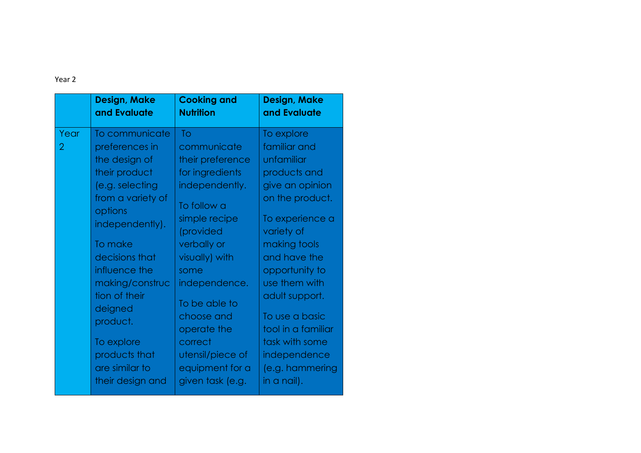| To communicate<br>Year<br>To<br>To explore<br>familiar and<br>communicate<br>2<br>preferences in<br>the design of<br>their preference<br>unfamiliar<br>products and<br>their product<br>for ingredients<br>give an opinion<br>(e.g. selecting<br>independently.<br>from a variety of<br>on the product.<br>To follow a<br>options<br>simple recipe<br>To experience a<br>independently).<br>(provided<br>variety of<br>verbally or<br>making tools<br>To make<br>decisions that<br>visually) with<br>and have the<br>influence the<br>opportunity to<br>some<br>use them with<br>making/construc<br>independence.<br>tion of their<br>adult support.<br>To be able to<br>deigned<br>choose and<br>To use a basic<br>product.<br>operate the<br>tool in a familiar<br>To explore<br>correct<br>task with some<br>products that<br>independence<br>utensil/piece of<br>are similar to<br>equipment for a<br>(e.g. hammering<br>their design and<br>given task (e.g.<br>in a nail). | <b>Design, Make</b><br>and Evaluate | <b>Cooking and</b><br><b>Nutrition</b> | <b>Design, Make</b><br>and Evaluate |
|----------------------------------------------------------------------------------------------------------------------------------------------------------------------------------------------------------------------------------------------------------------------------------------------------------------------------------------------------------------------------------------------------------------------------------------------------------------------------------------------------------------------------------------------------------------------------------------------------------------------------------------------------------------------------------------------------------------------------------------------------------------------------------------------------------------------------------------------------------------------------------------------------------------------------------------------------------------------------------|-------------------------------------|----------------------------------------|-------------------------------------|
|                                                                                                                                                                                                                                                                                                                                                                                                                                                                                                                                                                                                                                                                                                                                                                                                                                                                                                                                                                                  |                                     |                                        |                                     |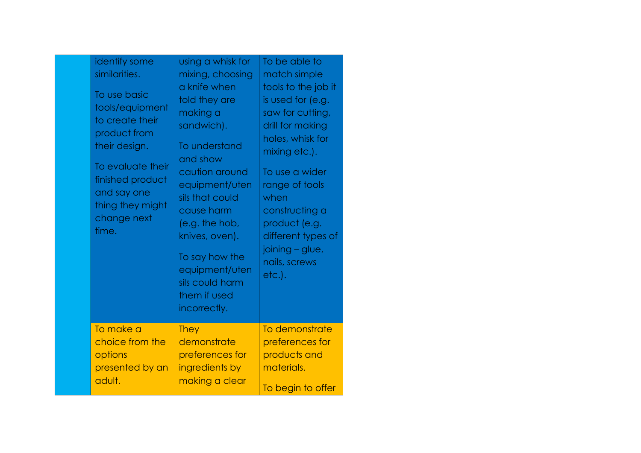| identify some<br>similarities.<br>To use basic<br>tools/equipment<br>to create their<br>product from<br>their design.<br>To evaluate their<br>finished product<br>and say one<br>thing they might<br>change next<br>time. | using a whisk for<br>mixing, choosing<br>a knife when<br>told they are<br>making a<br>sandwich).<br>To understand<br>and show<br>caution around<br>equipment/uten<br>sils that could<br>cause harm<br>(e.g. the hob,<br>knives, oven).<br>To say how the<br>equipment/uten<br>sils could harm<br>them if used<br>incorrectly. | To be able to<br>match simple<br>tools to the job it<br>is used for (e.g.<br>saw for cutting,<br>drill for making<br>holes, whisk for<br>mixing etc.).<br>To use a wider<br>range of tools<br>when<br>constructing a<br>product (e.g.<br>different types of<br>joining - glue,<br>nails, screws<br>etc.). |
|---------------------------------------------------------------------------------------------------------------------------------------------------------------------------------------------------------------------------|-------------------------------------------------------------------------------------------------------------------------------------------------------------------------------------------------------------------------------------------------------------------------------------------------------------------------------|-----------------------------------------------------------------------------------------------------------------------------------------------------------------------------------------------------------------------------------------------------------------------------------------------------------|
| To make a                                                                                                                                                                                                                 | <b>They</b>                                                                                                                                                                                                                                                                                                                   | To demonstrate                                                                                                                                                                                                                                                                                            |
| choice from the                                                                                                                                                                                                           | demonstrate                                                                                                                                                                                                                                                                                                                   | preferences for                                                                                                                                                                                                                                                                                           |
| options                                                                                                                                                                                                                   | preferences for                                                                                                                                                                                                                                                                                                               | products and                                                                                                                                                                                                                                                                                              |
| presented by an                                                                                                                                                                                                           | ingredients by                                                                                                                                                                                                                                                                                                                | materials.                                                                                                                                                                                                                                                                                                |
| adult.                                                                                                                                                                                                                    | making a clear                                                                                                                                                                                                                                                                                                                | To begin to offer                                                                                                                                                                                                                                                                                         |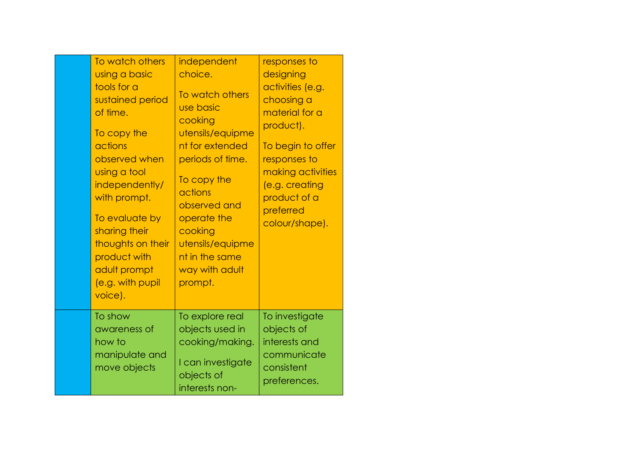| To watch others<br>using a basic<br>tools for a<br>sustained period<br>of time.<br>To copy the<br>actions<br>observed when<br>using a tool<br>independently/<br>with prompt.<br>To evaluate by<br>sharing their<br>thoughts on their<br>product with<br>adult prompt<br>(e.g. with pupil<br>voice). | independent<br>choice.<br>To watch others<br>use basic<br>cooking<br>utensils/equipme<br>nt for extended<br>periods of time.<br>To copy the<br>actions<br>observed and<br>operate the<br>cooking<br>utensils/equipme<br>nt in the same<br>way with adult<br>prompt. | responses to<br>designing<br>activities (e.g.<br>choosing a<br>material for a<br>product).<br>To begin to offer<br>responses to<br>making activities<br>(e.g. creating<br>product of a<br>preferred<br>colour/shape). |
|-----------------------------------------------------------------------------------------------------------------------------------------------------------------------------------------------------------------------------------------------------------------------------------------------------|---------------------------------------------------------------------------------------------------------------------------------------------------------------------------------------------------------------------------------------------------------------------|-----------------------------------------------------------------------------------------------------------------------------------------------------------------------------------------------------------------------|
| To show<br>awareness of<br>how to<br>manipulate and<br>move objects                                                                                                                                                                                                                                 | To explore real<br>objects used in<br>cooking/making.<br>I can investigate<br>objects of<br>interests non-                                                                                                                                                          | To investigate<br>objects of<br>interests and<br>communicate<br>consistent<br>preferences.                                                                                                                            |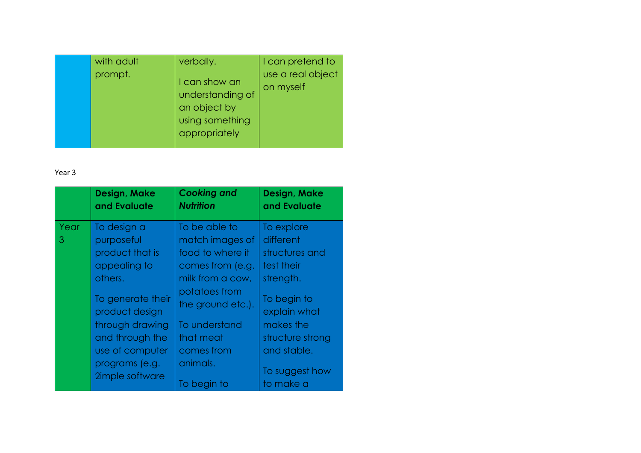| with adult<br>prompt. | verbally.<br>I can show an<br>understanding of<br>an object by<br>using something<br>appropriately | I can pretend to<br>use a real object<br>on myself |
|-----------------------|----------------------------------------------------------------------------------------------------|----------------------------------------------------|
|                       |                                                                                                    |                                                    |

|           | <b>Design, Make</b><br>and Evaluate                                                                                                                                                       | <b>Cooking and</b><br><b>Nutrition</b>                                                                                                                                                     | Design, Make<br>and Evaluate                                                                                                                                          |
|-----------|-------------------------------------------------------------------------------------------------------------------------------------------------------------------------------------------|--------------------------------------------------------------------------------------------------------------------------------------------------------------------------------------------|-----------------------------------------------------------------------------------------------------------------------------------------------------------------------|
| Year<br>3 | To design a<br>purposeful<br>product that is<br>appealing to<br>others.<br>To generate their<br>product design<br>through drawing<br>and through the<br>use of computer<br>programs (e.g. | To be able to<br>match images of<br>food to where it<br>comes from (e.g.<br>milk from a cow,<br>potatoes from<br>the ground etc.).<br>To understand<br>that meat<br>comes from<br>animals. | To explore<br>different<br>structures and<br>test their<br>strength.<br>To begin to<br>explain what<br>makes the<br>structure strong<br>and stable.<br>To suggest how |
|           | 2imple software                                                                                                                                                                           | To begin to                                                                                                                                                                                | to make a                                                                                                                                                             |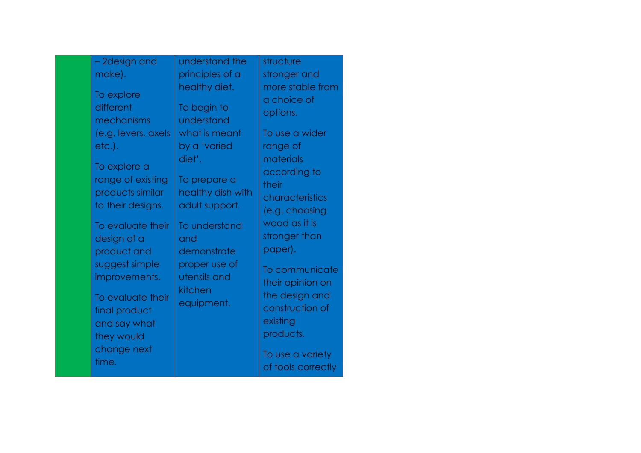| - 2design and                                                              | understand the                                      | structure                                                  |
|----------------------------------------------------------------------------|-----------------------------------------------------|------------------------------------------------------------|
| make).                                                                     | principles of a                                     | stronger and                                               |
| To explore<br>different<br>mechanisms                                      | healthy diet.<br>To begin to<br>understand          | more stable from<br>a choice of<br>options.                |
| (e.g. levers, axels<br>etc.).                                              | what is meant<br>by a 'varied<br>diet'.             | To use a wider<br>range of<br>materials                    |
| To explore a<br>range of existing<br>products similar<br>to their designs. | To prepare a<br>healthy dish with<br>adult support. | according to<br>their<br>characteristics<br>(e.g. choosing |
| To evaluate their<br>design of a<br>product and                            | To understand<br>and<br>demonstrate                 | wood as it is<br>stronger than<br>paper).                  |
| suggest simple<br>improvements.                                            | proper use of<br>utensils and<br>kitchen            | To communicate<br>their opinion on                         |
| To evaluate their<br>final product<br>and say what<br>they would           | equipment.                                          | the design and<br>construction of<br>existing<br>products. |
| change next<br>time.                                                       |                                                     | To use a variety<br>of tools correctly                     |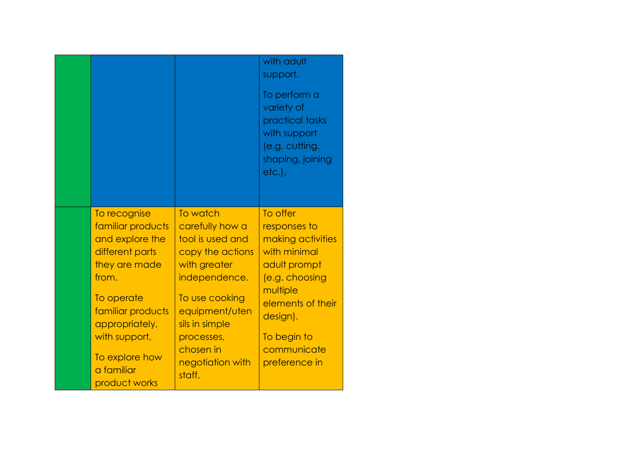|                                                                                                                                                                                                                          |                                                                                                                                                                                                                     | with adult<br>support.<br>To perform a<br>variety of<br>practical tasks<br>with support<br>(e.g. cutting,<br>shaping, joining<br>etc.).                                                     |
|--------------------------------------------------------------------------------------------------------------------------------------------------------------------------------------------------------------------------|---------------------------------------------------------------------------------------------------------------------------------------------------------------------------------------------------------------------|---------------------------------------------------------------------------------------------------------------------------------------------------------------------------------------------|
| To recognise<br>familiar products<br>and explore the<br>different parts<br>they are made<br>from.<br>To operate<br>familiar products<br>appropriately,<br>with support,<br>To explore how<br>a familiar<br>product works | To watch<br>carefully how a<br>tool is used and<br>copy the actions<br>with greater<br>independence.<br>To use cooking<br>equipment/uten<br>sils in simple<br>processes,<br>chosen in<br>negotiation with<br>staff. | To offer<br>responses to<br>making activities<br>with minimal<br>adult prompt<br>(e.g. choosing<br>multiple<br>elements of their<br>design).<br>To begin to<br>communicate<br>preference in |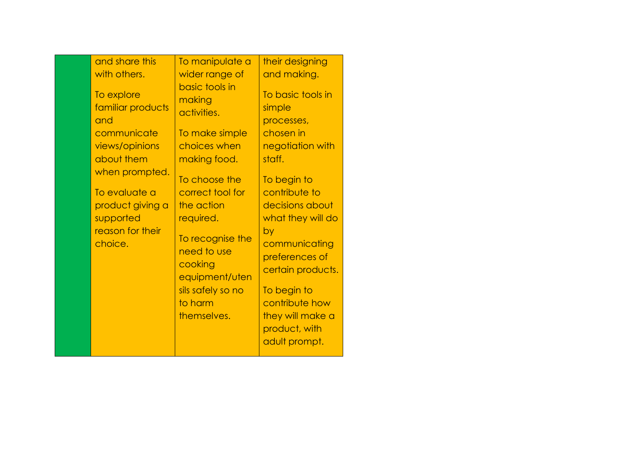|  | and share this<br>with others.<br>To explore<br>familiar products<br>and<br>communicate<br>views/opinions<br>about them<br>when prompted.<br>To evaluate a<br>product giving a<br>supported<br>reason for their<br>choice. | To manipulate a<br>wider range of<br>basic tools in<br>making<br>activities.<br>To make simple<br>choices when<br>making food.<br>To choose the<br>correct tool for<br>the action<br>required.<br>To recognise the<br>need to use<br>cooking<br>equipment/uten<br>sils safely so no<br>to harm<br>themselves. | their designing<br>and making.<br>To basic tools in<br>simple<br>processes,<br>chosen in<br>negotiation with<br>staff.<br>To begin to<br>contribute to<br>decisions about<br>what they will do<br>by<br>communicating<br>preferences of<br>certain products.<br>To begin to<br>contribute how<br>they will make a<br>product, with<br>adult prompt. |
|--|----------------------------------------------------------------------------------------------------------------------------------------------------------------------------------------------------------------------------|---------------------------------------------------------------------------------------------------------------------------------------------------------------------------------------------------------------------------------------------------------------------------------------------------------------|-----------------------------------------------------------------------------------------------------------------------------------------------------------------------------------------------------------------------------------------------------------------------------------------------------------------------------------------------------|
|--|----------------------------------------------------------------------------------------------------------------------------------------------------------------------------------------------------------------------------|---------------------------------------------------------------------------------------------------------------------------------------------------------------------------------------------------------------------------------------------------------------------------------------------------------------|-----------------------------------------------------------------------------------------------------------------------------------------------------------------------------------------------------------------------------------------------------------------------------------------------------------------------------------------------------|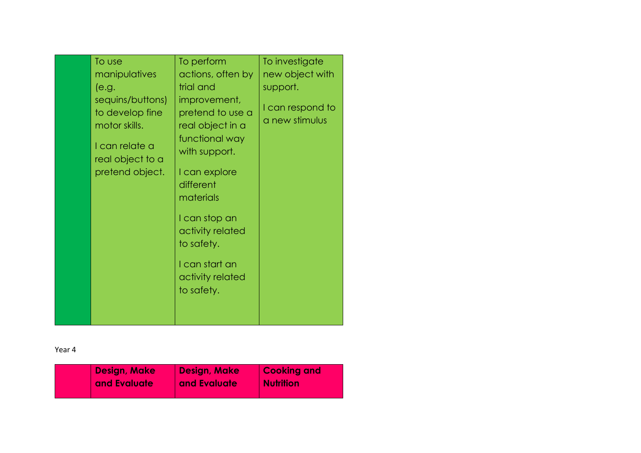| To use                                                                                                        | To perform                                                                                                                                                                                                                                | To investigate                     |
|---------------------------------------------------------------------------------------------------------------|-------------------------------------------------------------------------------------------------------------------------------------------------------------------------------------------------------------------------------------------|------------------------------------|
| manipulatives                                                                                                 | actions, often by                                                                                                                                                                                                                         | new object with                    |
| (e.g.                                                                                                         | trial and                                                                                                                                                                                                                                 | support.                           |
| sequins/buttons)<br>to develop fine<br>motor skills.<br>I can relate a<br>real object to a<br>pretend object. | improvement,<br>pretend to use a<br>real object in a<br>functional way<br>with support.<br>I can explore<br>different<br>materials<br>I can stop an<br>activity related<br>to safety.<br>I can start an<br>activity related<br>to safety. | I can respond to<br>a new stimulus |
|                                                                                                               |                                                                                                                                                                                                                                           |                                    |

| Design, Make | Design, Make | <b>Cooking and</b> |
|--------------|--------------|--------------------|
| and Evaluate | and Evaluate | <b>Nutrition</b>   |
|              |              |                    |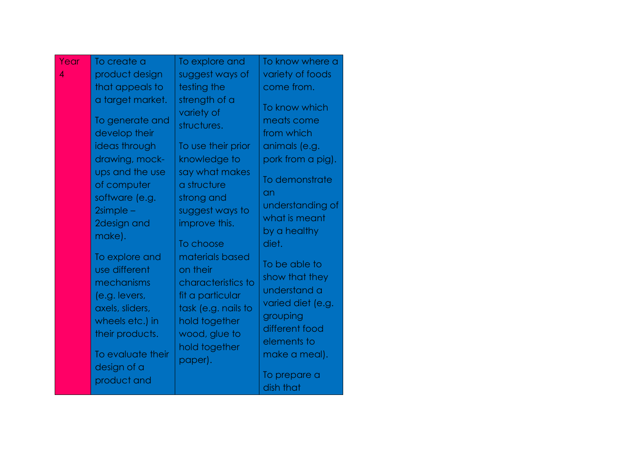| Year           | To create a                                                                                                                                                                          | To explore and                                                                                                                                                                   | To know where a                                                                                                                                                       |
|----------------|--------------------------------------------------------------------------------------------------------------------------------------------------------------------------------------|----------------------------------------------------------------------------------------------------------------------------------------------------------------------------------|-----------------------------------------------------------------------------------------------------------------------------------------------------------------------|
| $\overline{4}$ | product design                                                                                                                                                                       | suggest ways of                                                                                                                                                                  | variety of foods                                                                                                                                                      |
|                | that appeals to                                                                                                                                                                      | testing the                                                                                                                                                                      | come from.                                                                                                                                                            |
|                | a target market.<br>To generate and<br>develop their<br>ideas through<br>drawing, mock-<br>ups and the use<br>of computer<br>software (e.g.<br>$2$ simple –<br>2design and<br>make). | strength of a<br>variety of<br>structures.<br>To use their prior<br>knowledge to<br>say what makes<br>a structure<br>strong and<br>suggest ways to<br>improve this.<br>To choose | To know which<br>meats come<br>from which<br>animals (e.g.<br>pork from a pig).<br>To demonstrate<br>an<br>understanding of<br>what is meant<br>by a healthy<br>diet. |
|                | To explore and<br>use different<br>mechanisms<br>(e.g. levers,<br>axels, sliders,<br>wheels etc.) in<br>their products.<br>To evaluate their<br>design of a<br>product and           | materials based<br>on their<br>characteristics to<br>fit a particular<br>task (e.g. nails to<br>hold together<br>wood, glue to<br>hold together<br>paper).                       | To be able to<br>show that they<br>understand a<br>varied diet (e.g.<br>grouping<br>different food<br>elements to<br>make a meal).<br>To prepare a<br>dish that       |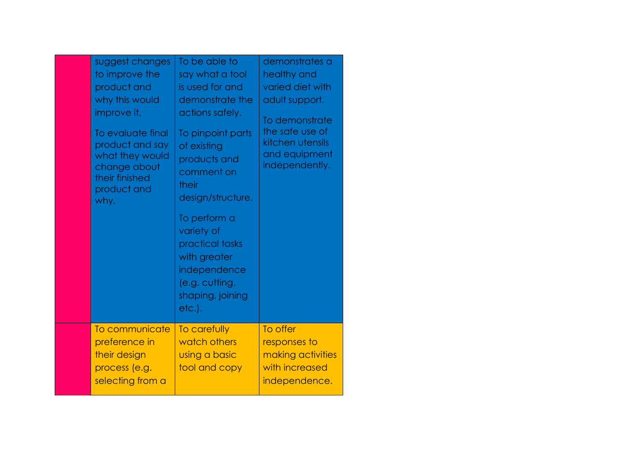| suggest changes<br>to improve the<br>product and<br>why this would<br>improve it.<br>To evaluate final<br>product and say<br>what they would<br>change about<br>their finished<br>product and<br>why. | To be able to<br>say what a tool<br>is used for and<br>demonstrate the<br>actions safely.<br>To pinpoint parts<br>of existing<br>products and<br>comment on<br>their<br>design/structure.<br>To perform a<br>variety of<br>practical tasks<br>with greater<br>independence<br>(e.g. cutting,<br>shaping, joining<br>etc.). | demonstrates a<br>healthy and<br>varied diet with<br>adult support.<br>To demonstrate<br>the safe use of<br>kitchen utensils<br>and equipment<br>independently. |
|-------------------------------------------------------------------------------------------------------------------------------------------------------------------------------------------------------|----------------------------------------------------------------------------------------------------------------------------------------------------------------------------------------------------------------------------------------------------------------------------------------------------------------------------|-----------------------------------------------------------------------------------------------------------------------------------------------------------------|
| To communicate<br>preference in<br>their design<br>process (e.g.<br>selecting from a                                                                                                                  | To carefully<br>watch others<br>using a basic<br>tool and copy                                                                                                                                                                                                                                                             | To offer<br>responses to<br>making activities<br>with increased<br>independence.                                                                                |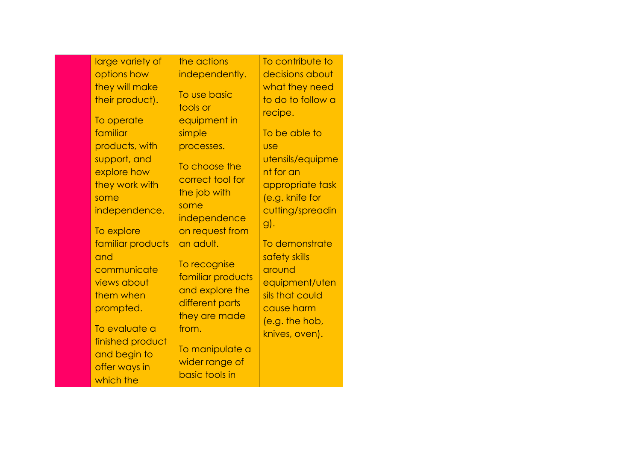| large variety of                                                                 | the actions                                                                                           | To contribute to                                                                                   |
|----------------------------------------------------------------------------------|-------------------------------------------------------------------------------------------------------|----------------------------------------------------------------------------------------------------|
| options how                                                                      | independently.                                                                                        | decisions about                                                                                    |
| they will make<br>their product).<br>To operate                                  | To use basic<br>tools or<br>equipment in                                                              | what they need<br>to do to follow a<br>recipe.                                                     |
| familiar                                                                         | simple                                                                                                | To be able to                                                                                      |
| products, with                                                                   | processes.                                                                                            | <b>USe</b>                                                                                         |
| support, and<br>explore how<br>they work with<br>some<br>independence.           | To choose the<br>correct tool for<br>the job with<br>some<br>independence                             | utensils/equipme<br>nt for an<br>appropriate task<br>(e.g. knife for<br>cutting/spreadin<br>$g$ ). |
| To explore                                                                       | on request from                                                                                       |                                                                                                    |
| familiar products<br>and<br>communicate<br>views about<br>them when<br>prompted. | an adult.<br>To recognise<br>familiar products<br>and explore the<br>different parts<br>they are made | To demonstrate<br>safety skills<br>around<br>equipment/uten<br>sils that could<br>cause harm       |
| To evaluate a<br>finished product<br>and begin to<br>offer ways in<br>which the  | from.<br>To manipulate a<br>wider range of<br>basic tools in                                          | (e.g. the hob,<br>knives, oven).                                                                   |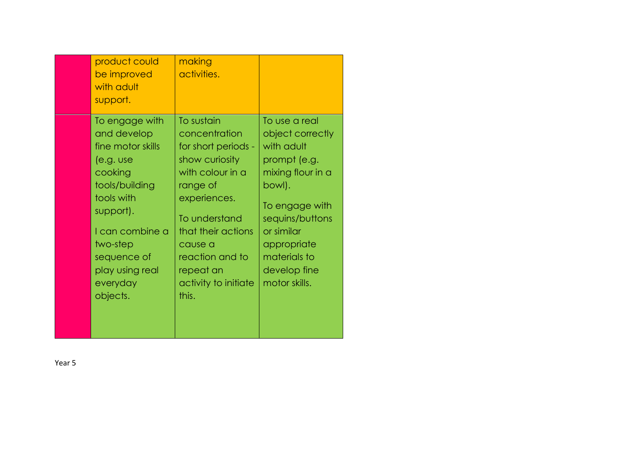| product could<br>be improved<br>with adult<br>support.                                                                                                                                                           | making<br>activities.                                                                                                                                                                                                                   |                                                                                                                                                                                                                   |
|------------------------------------------------------------------------------------------------------------------------------------------------------------------------------------------------------------------|-----------------------------------------------------------------------------------------------------------------------------------------------------------------------------------------------------------------------------------------|-------------------------------------------------------------------------------------------------------------------------------------------------------------------------------------------------------------------|
| To engage with<br>and develop<br>fine motor skills<br>(e.g. use<br>cooking<br>tools/building<br>tools with<br>support).<br>I can combine a<br>two-step<br>sequence of<br>play using real<br>everyday<br>objects. | To sustain<br>concentration<br>for short periods -<br>show curiosity<br>with colour in a<br>range of<br>experiences.<br>To understand<br>that their actions<br>cause a<br>reaction and to<br>repeat an<br>activity to initiate<br>this. | To use a real<br>object correctly<br>with adult<br>prompt (e.g.<br>mixing flour in a<br>bowl).<br>To engage with<br>sequins/buttons<br>or similar<br>appropriate<br>materials to<br>develop fine<br>motor skills. |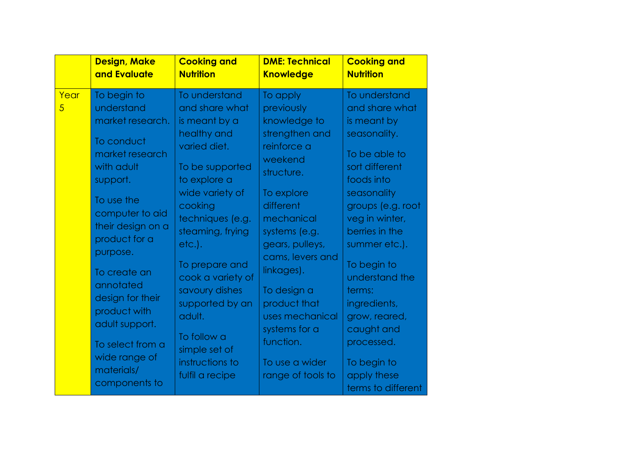|                        | <b>Design, Make</b><br>and Evaluate                                                                                                                                                                         | <b>Cooking and</b><br><b>Nutrition</b>                                                                                                                                                                                                       | <b>DME: Technical</b><br><b>Knowledge</b>                                                                                                                                                                       | <b>Cooking and</b><br><b>Nutrition</b>                                                                                                                                                                                                    |
|------------------------|-------------------------------------------------------------------------------------------------------------------------------------------------------------------------------------------------------------|----------------------------------------------------------------------------------------------------------------------------------------------------------------------------------------------------------------------------------------------|-----------------------------------------------------------------------------------------------------------------------------------------------------------------------------------------------------------------|-------------------------------------------------------------------------------------------------------------------------------------------------------------------------------------------------------------------------------------------|
| Year<br>$\overline{5}$ | To begin to<br>understand<br>market research.<br>To conduct<br>market research<br>with adult<br>support.<br>To use the<br>computer to aid<br>their design on a<br>product for a<br>purpose.<br>To create an | To understand<br>and share what<br>is meant by a<br>healthy and<br>varied diet.<br>To be supported<br>to explore a<br>wide variety of<br>cooking<br>techniques (e.g.<br>steaming, frying<br>$etc.$ ).<br>To prepare and<br>cook a variety of | To apply<br>previously<br>knowledge to<br>strengthen and<br>reinforce a<br>weekend<br>structure.<br>To explore<br>different<br>mechanical<br>systems (e.g.<br>gears, pulleys,<br>cams, levers and<br>linkages). | To understand<br>and share what<br>is meant by<br>seasonality.<br>To be able to<br>sort different<br>foods into<br>seasonality<br>groups (e.g. root<br>veg in winter,<br>berries in the<br>summer etc.).<br>To begin to<br>understand the |
|                        | annotated<br>design for their<br>product with<br>adult support.<br>To select from a<br>wide range of<br>materials/<br>components to                                                                         | savoury dishes<br>supported by an<br>adult.<br>To follow a<br>simple set of<br>instructions to<br>fulfil a recipe                                                                                                                            | To design a<br>product that<br>uses mechanical<br>systems for a<br>function.<br>To use a wider<br>range of tools to                                                                                             | terms:<br>ingredients,<br>grow, reared,<br>caught and<br>processed.<br>To begin to<br>apply these<br>terms to different                                                                                                                   |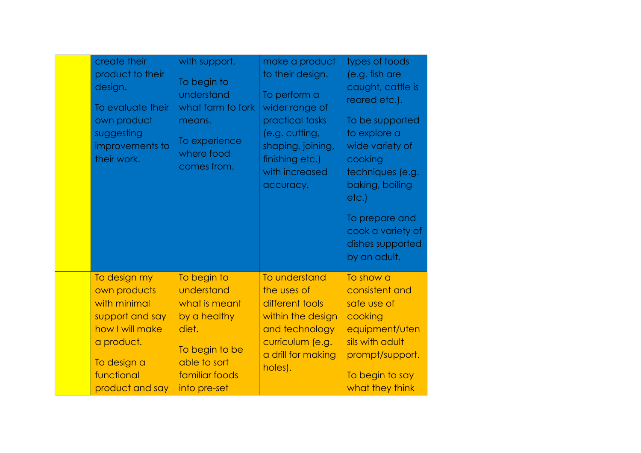| create their<br>product to their<br>design.<br>To evaluate their<br>own product<br>suggesting<br>improvements to<br>their work.                  | with support.<br>To begin to<br>understand<br>what farm to fork<br>means.<br>To experience<br>where food<br>comes from.                 | make a product<br>to their design.<br>To perform a<br>wider range of<br>practical tasks<br>(e.g. cutting,<br>shaping, joining,<br>finishing etc.)<br>with increased<br>accuracy. | types of foods<br>(e.g. fish are<br>caught, cattle is<br>reared etc.).<br>To be supported<br>to explore a<br>wide variety of<br>cooking<br>techniques (e.g.<br>baking, boiling<br>etc.)<br>To prepare and<br>cook a variety of<br>dishes supported<br>by an adult. |
|--------------------------------------------------------------------------------------------------------------------------------------------------|-----------------------------------------------------------------------------------------------------------------------------------------|----------------------------------------------------------------------------------------------------------------------------------------------------------------------------------|--------------------------------------------------------------------------------------------------------------------------------------------------------------------------------------------------------------------------------------------------------------------|
| To design my<br>own products<br>with minimal<br>support and say<br>how I will make<br>a product.<br>To design a<br>functional<br>product and say | To begin to<br>understand<br>what is meant<br>by a healthy<br>diet.<br>To begin to be<br>able to sort<br>familiar foods<br>into pre-set | To understand<br>the uses of<br>different tools<br>within the design<br>and technology<br>curriculum (e.g.<br>a drill for making<br>holes).                                      | To show a<br>consistent and<br>safe use of<br>cooking<br>equipment/uten<br>sils with adult<br>prompt/support.<br>To begin to say<br>what they think                                                                                                                |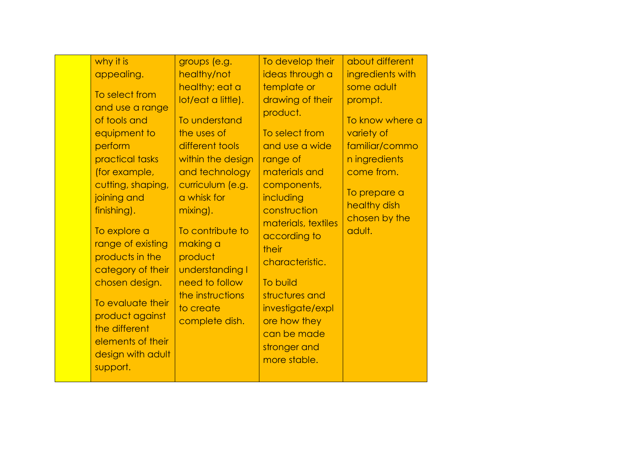| why it is<br>appealing.<br>To select from<br>and use a range<br>of tools and<br>equipment to<br>perform<br>practical tasks<br>(for example,<br>cutting, shaping,<br>joining and<br>finishing).<br>To explore a<br>range of existing<br>products in the<br>category of their<br>chosen design.<br>To evaluate their<br>product against<br>the different<br>elements of their<br>design with adult<br>support. | groups (e.g.<br>healthy/not<br>healthy; eat a<br>lot/eat a little).<br>To understand<br>the uses of<br>different tools<br>within the design<br>and technology<br>curriculum (e.g.<br>a whisk for<br>mixing).<br>To contribute to<br>making a<br>product<br>understanding I<br>need to follow<br>the instructions<br>to create<br>complete dish. | To develop their<br>ideas through a<br>template or<br>drawing of their<br>product.<br>To select from<br>and use a wide<br>range of<br>materials and<br>components,<br>including<br>construction<br>materials, textiles<br>according to<br>their<br>characteristic.<br>To build<br>structures and<br>investigate/expl<br>ore how they<br>can be made<br>stronger and<br>more stable. | about different<br>ingredients with<br>some adult<br>prompt.<br>To know where a<br>variety of<br>familiar/commo<br>n ingredients<br>come from.<br>To prepare a<br>healthy dish<br>chosen by the<br>adult. |
|--------------------------------------------------------------------------------------------------------------------------------------------------------------------------------------------------------------------------------------------------------------------------------------------------------------------------------------------------------------------------------------------------------------|-------------------------------------------------------------------------------------------------------------------------------------------------------------------------------------------------------------------------------------------------------------------------------------------------------------------------------------------------|-------------------------------------------------------------------------------------------------------------------------------------------------------------------------------------------------------------------------------------------------------------------------------------------------------------------------------------------------------------------------------------|-----------------------------------------------------------------------------------------------------------------------------------------------------------------------------------------------------------|
|--------------------------------------------------------------------------------------------------------------------------------------------------------------------------------------------------------------------------------------------------------------------------------------------------------------------------------------------------------------------------------------------------------------|-------------------------------------------------------------------------------------------------------------------------------------------------------------------------------------------------------------------------------------------------------------------------------------------------------------------------------------------------|-------------------------------------------------------------------------------------------------------------------------------------------------------------------------------------------------------------------------------------------------------------------------------------------------------------------------------------------------------------------------------------|-----------------------------------------------------------------------------------------------------------------------------------------------------------------------------------------------------------|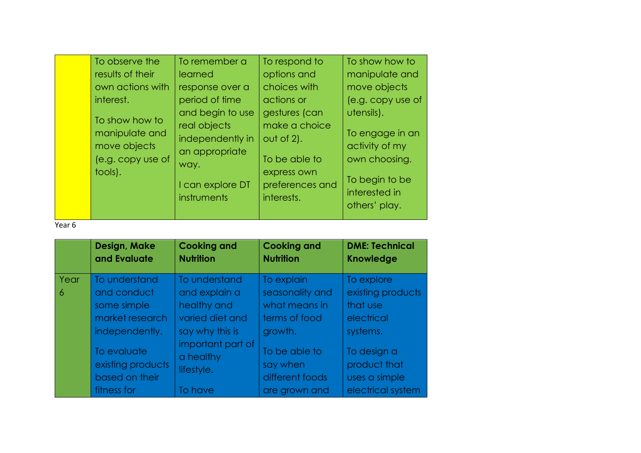| To observe the<br>results of their<br>own actions with<br>interest.<br>To show how to<br>manipulate and<br>move objects<br>(e.g. copy use of<br>tools). | To remember a<br>learned<br>response over a<br>period of time<br>and begin to use<br>real objects<br>independently in<br>an appropriate<br>way.<br>I can explore DT<br>instruments | To respond to<br>options and<br>choices with<br>actions or<br>gestures (can<br>make a choice<br>$out of 2$ ).<br>To be able to<br>express own<br>interests. | To show how to<br>manipulate and<br>move objects<br>utensils).<br>To engage in an<br>activity of my<br>own choosing.<br>To begin to be<br>preferences and<br>interested in<br>others' play. | (e.g. copy use of |
|---------------------------------------------------------------------------------------------------------------------------------------------------------|------------------------------------------------------------------------------------------------------------------------------------------------------------------------------------|-------------------------------------------------------------------------------------------------------------------------------------------------------------|---------------------------------------------------------------------------------------------------------------------------------------------------------------------------------------------|-------------------|
|---------------------------------------------------------------------------------------------------------------------------------------------------------|------------------------------------------------------------------------------------------------------------------------------------------------------------------------------------|-------------------------------------------------------------------------------------------------------------------------------------------------------------|---------------------------------------------------------------------------------------------------------------------------------------------------------------------------------------------|-------------------|

|      | Design, Make<br>and Evaluate                       | <b>Cooking and</b><br><b>Nutrition</b>       | <b>Cooking and</b><br><b>Nutrition</b>       | <b>DME: Technical</b><br><b>Knowledge</b>    |
|------|----------------------------------------------------|----------------------------------------------|----------------------------------------------|----------------------------------------------|
| Year | To understand                                      | To understand                                | To explain                                   | To explore                                   |
| 6    | and conduct                                        | and explain a                                | seasonality and                              | existing products                            |
|      | some simple                                        | healthy and                                  | what means in                                | that use                                     |
|      | market research                                    | varied diet and                              | terms of food                                | electrical                                   |
|      | independently.                                     | say why this is                              | growth.                                      | systems.                                     |
|      | To evaluate<br>existing products<br>based on their | important part of<br>a healthy<br>lifestyle. | To be able to<br>say when<br>different foods | To design a<br>product that<br>uses a simple |
|      | fitness for                                        | To have                                      | are grown and                                | electrical system                            |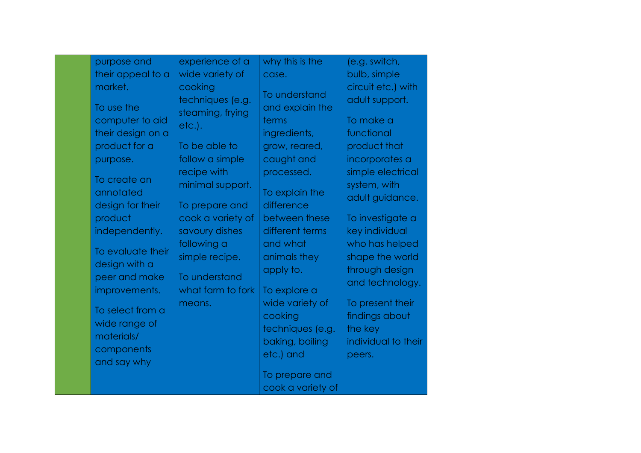| purpose and                                   | experience of a                                   | why this is the                                | (e.g. switch,                                        |
|-----------------------------------------------|---------------------------------------------------|------------------------------------------------|------------------------------------------------------|
| their appeal to a                             | wide variety of                                   | case.                                          | bulb, simple                                         |
| market.<br>To use the                         | cooking<br>techniques (e.g.                       | To understand<br>and explain the               | circuit etc.) with<br>adult support.                 |
| computer to aid<br>their design on a          | steaming, frying<br>$etc.$ ).                     | terms<br>ingredients,                          | To make a<br>functional                              |
| product for a<br>purpose.                     | To be able to<br>follow a simple                  | grow, reared,<br>caught and                    | product that<br>incorporates a                       |
| To create an<br>annotated<br>design for their | recipe with<br>minimal support.<br>To prepare and | processed.<br>To explain the<br>difference     | simple electrical<br>system, with<br>adult guidance. |
| product                                       | cook a variety of                                 | between these                                  | To investigate a                                     |
| independently.                                | savoury dishes<br>following a                     | different terms<br>and what                    | key individual<br>who has helped                     |
| To evaluate their<br>design with a            | simple recipe.                                    | animals they<br>apply to.                      | shape the world<br>through design                    |
| peer and make<br>improvements.                | To understand<br>what farm to fork                | To explore a                                   | and technology.                                      |
| To select from a<br>wide range of             | means.                                            | wide variety of<br>cooking<br>techniques (e.g. | To present their<br>findings about<br>the key        |
| materials/<br>components<br>and say why       |                                                   | baking, boiling<br>etc.) and                   | individual to their<br>peers.                        |
|                                               |                                                   | To prepare and<br>cook a variety of            |                                                      |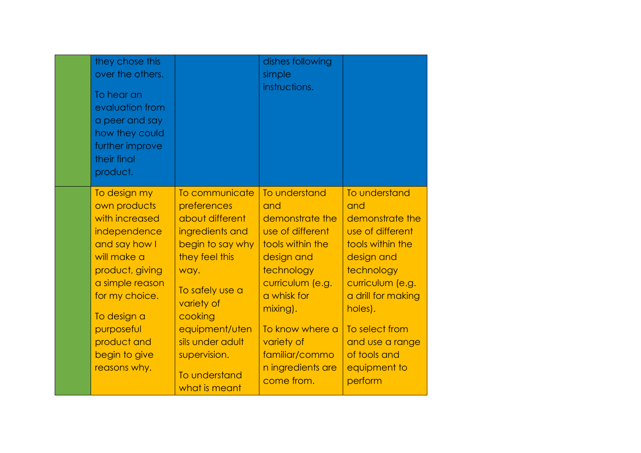| they chose this<br>over the others.<br>To hear an<br>evaluation from<br>a peer and say<br>how they could<br>further improve<br>their final<br>product.                                                                              |                                                                                                                                                                                                                                                       | dishes following<br>simple<br>instructions.                                                                                                                                                                                                      |                                                                                                                                                                                                                                                  |
|-------------------------------------------------------------------------------------------------------------------------------------------------------------------------------------------------------------------------------------|-------------------------------------------------------------------------------------------------------------------------------------------------------------------------------------------------------------------------------------------------------|--------------------------------------------------------------------------------------------------------------------------------------------------------------------------------------------------------------------------------------------------|--------------------------------------------------------------------------------------------------------------------------------------------------------------------------------------------------------------------------------------------------|
| To design my<br>own products<br>with increased<br>independence<br>and say how I<br>will make a<br>product, giving<br>a simple reason<br>for my choice.<br>To design a<br>purposeful<br>product and<br>begin to give<br>reasons why. | To communicate<br>preferences<br>about different<br>ingredients and<br>begin to say why<br>they feel this<br>way.<br>To safely use a<br>variety of<br>cooking<br>equipment/uten<br>sils under adult<br>supervision.<br>To understand<br>what is meant | To understand<br>and<br>demonstrate the<br>use of different<br>tools within the<br>design and<br>technology<br>curriculum (e.g.<br>a whisk for<br>mixing).<br>To know where a<br>variety of<br>familiar/commo<br>n ingredients are<br>come from. | To understand<br>and<br>demonstrate the<br>use of different<br>tools within the<br>design and<br>technology<br>curriculum (e.g.<br>a drill for making<br>holes).<br>To select from<br>and use a range<br>of tools and<br>equipment to<br>perform |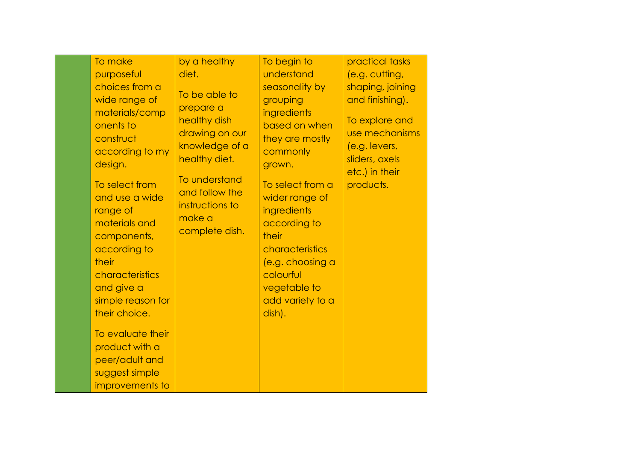| To make<br>purposeful<br>choices from a<br>wide range of                                                                                                                     | by a healthy<br>diet.<br>To be able to                                         | To begin to<br>understand<br>seasonality by<br>grouping                                                                                                                      | practical tasks<br>(e.g. cutting,<br>shaping, joining<br>and finishing). |
|------------------------------------------------------------------------------------------------------------------------------------------------------------------------------|--------------------------------------------------------------------------------|------------------------------------------------------------------------------------------------------------------------------------------------------------------------------|--------------------------------------------------------------------------|
| materials/comp<br>onents to<br>construct<br>according to my<br>design.                                                                                                       | prepare a<br>healthy dish<br>drawing on our<br>knowledge of a<br>healthy diet. | ingredients<br>based on when<br>they are mostly<br>commonly<br>grown.                                                                                                        | To explore and<br>use mechanisms<br>(e.g. levers,<br>sliders, axels      |
| To select from<br>and use a wide<br>range of<br>materials and<br>components,<br>according to<br>their<br>characteristics<br>and give a<br>simple reason for<br>their choice. | To understand<br>and follow the<br>instructions to<br>make a<br>complete dish. | To select from a<br>wider range of<br>ingredients<br>according to<br>their<br>characteristics<br>(e.g. choosing a<br>colourful<br>vegetable to<br>add variety to a<br>dish). | etc.) in their<br>products.                                              |
| To evaluate their<br>product with a<br>peer/adult and<br>suggest simple<br>improvements to                                                                                   |                                                                                |                                                                                                                                                                              |                                                                          |